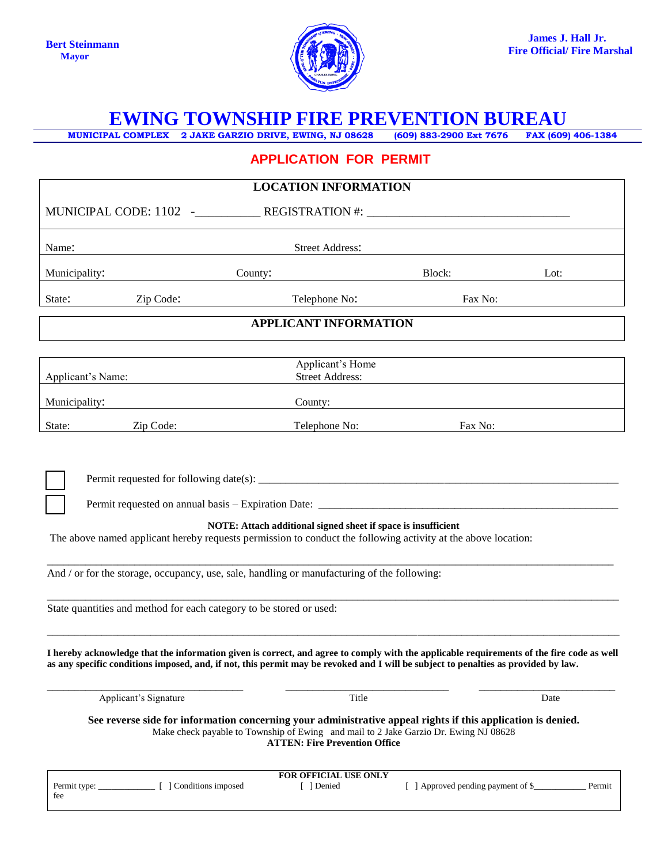

# **EWING TOWNSHIP FIRE PREVENTION BUREAU**

**MUNICIPAL COMPLEX 2 JAKE GARZIO DRIVE, EWING, NJ 08628 (609) 883-2900 Ext 7676 FAX (609) 406-1384**

## **APPLICATION FOR PERMIT**

| <b>LOCATION INFORMATION</b>                                                                                                                                                                                                                                                                                                                          |                                            |                                    |        |
|------------------------------------------------------------------------------------------------------------------------------------------------------------------------------------------------------------------------------------------------------------------------------------------------------------------------------------------------------|--------------------------------------------|------------------------------------|--------|
| MUNICIPAL CODE: 1102 -_____________REGISTRATION #: ______________________________                                                                                                                                                                                                                                                                    |                                            |                                    |        |
| <b>Street Address:</b><br>Name:                                                                                                                                                                                                                                                                                                                      |                                            |                                    |        |
| Municipality:                                                                                                                                                                                                                                                                                                                                        | County:                                    | Block:                             | Lot:   |
| State:<br>Zip Code:                                                                                                                                                                                                                                                                                                                                  | Telephone No:                              | Fax No:                            |        |
| <b>APPLICANT INFORMATION</b>                                                                                                                                                                                                                                                                                                                         |                                            |                                    |        |
|                                                                                                                                                                                                                                                                                                                                                      |                                            |                                    |        |
| Applicant's Name:                                                                                                                                                                                                                                                                                                                                    | Applicant's Home<br><b>Street Address:</b> |                                    |        |
| Municipality:                                                                                                                                                                                                                                                                                                                                        | County:                                    |                                    |        |
| Zip Code:<br>State:                                                                                                                                                                                                                                                                                                                                  | Telephone No:                              | Fax No:                            |        |
| NOTE: Attach additional signed sheet if space is insufficient<br>The above named applicant hereby requests permission to conduct the following activity at the above location:<br>And / or for the storage, occupancy, use, sale, handling or manufacturing of the following:<br>State quantities and method for each category to be stored or used: |                                            |                                    |        |
| I hereby acknowledge that the information given is correct, and agree to comply with the applicable requirements of the fire code as well<br>as any specific conditions imposed, and, if not, this permit may be revoked and I will be subject to penalties as provided by law.<br>Applicant's Signature<br>Title<br>Date                            |                                            |                                    |        |
| See reverse side for information concerning your administrative appeal rights if this application is denied.<br>Make check payable to Township of Ewing and mail to 2 Jake Garzio Dr. Ewing NJ 08628<br><b>ATTEN: Fire Prevention Office</b>                                                                                                         |                                            |                                    |        |
| fee                                                                                                                                                                                                                                                                                                                                                  | FOR OFFICIAL USE ONLY<br>[ ] Denied        | [ ] Approved pending payment of \$ | Permit |